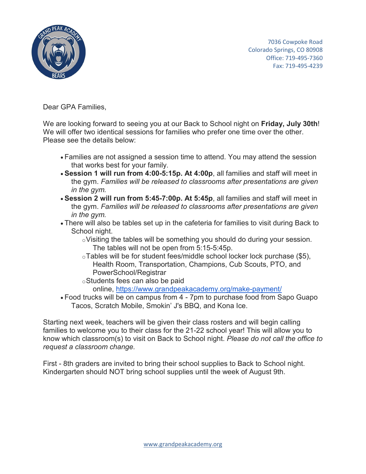

 7036 Cowpoke Road Colorado Springs, CO 80908 Office: 719-495-7360 Fax: 719-495-4239

Dear GPA Families,

We are looking forward to seeing you at our Back to School night on **Friday, July 30th**! We will offer two identical sessions for families who prefer one time over the other. Please see the details below:

- Families are not assigned a session time to attend. You may attend the session that works best for your family.
- **Session 1 will run from 4:00-5:15p. At 4:00p**, all families and staff will meet in the gym. *Families will be released to classrooms after presentations are given in the gym.*
- **Session 2 will run from 5:45-7:00p. At 5:45p**, all families and staff will meet in the gym. *Families will be released to classrooms after presentations are given in the gym.*
- There will also be tables set up in the cafeteria for families to visit during Back to School night.
	- oVisiting the tables will be something you should do during your session. The tables will not be open from 5:15-5:45p.
	- oTables will be for student fees/middle school locker lock purchase (\$5), Health Room, Transportation, Champions, Cub Scouts, PTO, and PowerSchool/Registrar
	- oStudents fees can also be paid

online, <https://www.grandpeakacademy.org/make-payment/>

• Food trucks will be on campus from 4 - 7pm to purchase food from Sapo Guapo Tacos, Scratch Mobile, Smokin' J's BBQ, and Kona Ice.

Starting next week, teachers will be given their class rosters and will begin calling families to welcome you to their class for the 21-22 school year! This will allow you to know which classroom(s) to visit on Back to School night. *Please do not call the office to request a classroom change.*

First - 8th graders are invited to bring their school supplies to Back to School night. Kindergarten should NOT bring school supplies until the week of August 9th.